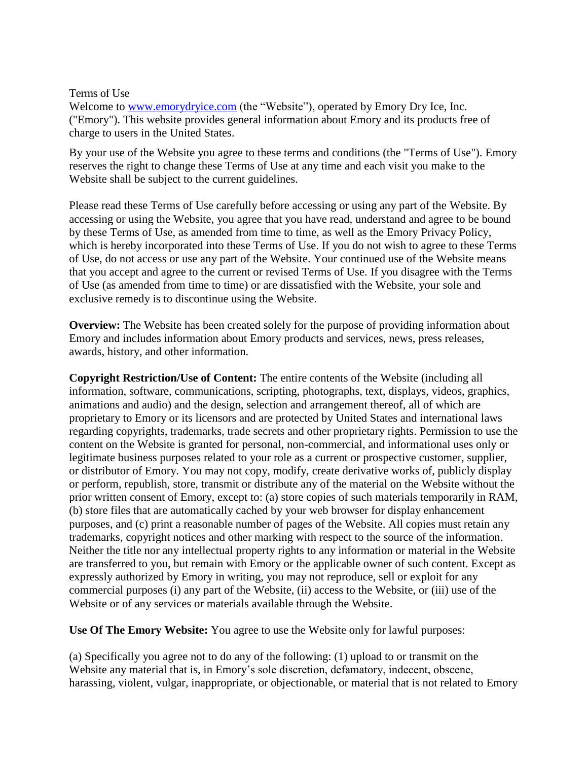## Terms of Use

Welcome to [www.emorydryice.com](http://www.emorydryice.com/) (the "Website"), operated by Emory Dry Ice, Inc. ("Emory"). This website provides general information about Emory and its products free of charge to users in the United States.

By your use of the Website you agree to these terms and conditions (the "Terms of Use"). Emory reserves the right to change these Terms of Use at any time and each visit you make to the Website shall be subject to the current guidelines.

Please read these Terms of Use carefully before accessing or using any part of the Website. By accessing or using the Website, you agree that you have read, understand and agree to be bound by these Terms of Use, as amended from time to time, as well as the Emory [Privacy Policy,](http://www.millerwelds.com/privacy-policy) which is hereby incorporated into these Terms of Use. If you do not wish to agree to these Terms of Use, do not access or use any part of the Website. Your continued use of the Website means that you accept and agree to the current or revised Terms of Use. If you disagree with the Terms of Use (as amended from time to time) or are dissatisfied with the Website, your sole and exclusive remedy is to discontinue using the Website.

**Overview:** The Website has been created solely for the purpose of providing information about Emory and includes information about Emory products and services, news, press releases, awards, history, and other information.

**Copyright Restriction/Use of Content:** The entire contents of the Website (including all information, software, communications, scripting, photographs, text, displays, videos, graphics, animations and audio) and the design, selection and arrangement thereof, all of which are proprietary to Emory or its licensors and are protected by United States and international laws regarding copyrights, trademarks, trade secrets and other proprietary rights. Permission to use the content on the Website is granted for personal, non-commercial, and informational uses only or legitimate business purposes related to your role as a current or prospective customer, supplier, or distributor of Emory. You may not copy, modify, create derivative works of, publicly display or perform, republish, store, transmit or distribute any of the material on the Website without the prior written consent of Emory, except to: (a) store copies of such materials temporarily in RAM, (b) store files that are automatically cached by your web browser for display enhancement purposes, and (c) print a reasonable number of pages of the Website. All copies must retain any trademarks, copyright notices and other marking with respect to the source of the information. Neither the title nor any intellectual property rights to any information or material in the Website are transferred to you, but remain with Emory or the applicable owner of such content. Except as expressly authorized by Emory in writing, you may not reproduce, sell or exploit for any commercial purposes (i) any part of the Website, (ii) access to the Website, or (iii) use of the Website or of any services or materials available through the Website.

**Use Of The Emory Website:** You agree to use the Website only for lawful purposes:

(a) Specifically you agree not to do any of the following: (1) upload to or transmit on the Website any material that is, in Emory's sole discretion, defamatory, indecent, obscene, harassing, violent, vulgar, inappropriate, or objectionable, or material that is not related to Emory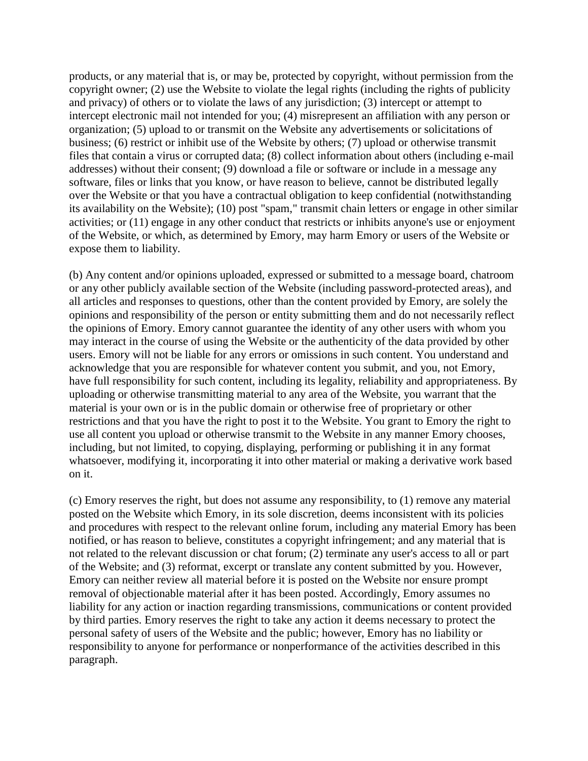products, or any material that is, or may be, protected by copyright, without permission from the copyright owner; (2) use the Website to violate the legal rights (including the rights of publicity and privacy) of others or to violate the laws of any jurisdiction; (3) intercept or attempt to intercept electronic mail not intended for you; (4) misrepresent an affiliation with any person or organization; (5) upload to or transmit on the Website any advertisements or solicitations of business; (6) restrict or inhibit use of the Website by others; (7) upload or otherwise transmit files that contain a virus or corrupted data; (8) collect information about others (including e-mail addresses) without their consent; (9) download a file or software or include in a message any software, files or links that you know, or have reason to believe, cannot be distributed legally over the Website or that you have a contractual obligation to keep confidential (notwithstanding its availability on the Website); (10) post "spam," transmit chain letters or engage in other similar activities; or (11) engage in any other conduct that restricts or inhibits anyone's use or enjoyment of the Website, or which, as determined by Emory, may harm Emory or users of the Website or expose them to liability.

(b) Any content and/or opinions uploaded, expressed or submitted to a message board, chatroom or any other publicly available section of the Website (including password-protected areas), and all articles and responses to questions, other than the content provided by Emory, are solely the opinions and responsibility of the person or entity submitting them and do not necessarily reflect the opinions of Emory. Emory cannot guarantee the identity of any other users with whom you may interact in the course of using the Website or the authenticity of the data provided by other users. Emory will not be liable for any errors or omissions in such content. You understand and acknowledge that you are responsible for whatever content you submit, and you, not Emory, have full responsibility for such content, including its legality, reliability and appropriateness. By uploading or otherwise transmitting material to any area of the Website, you warrant that the material is your own or is in the public domain or otherwise free of proprietary or other restrictions and that you have the right to post it to the Website. You grant to Emory the right to use all content you upload or otherwise transmit to the Website in any manner Emory chooses, including, but not limited, to copying, displaying, performing or publishing it in any format whatsoever, modifying it, incorporating it into other material or making a derivative work based on it.

(c) Emory reserves the right, but does not assume any responsibility, to (1) remove any material posted on the Website which Emory, in its sole discretion, deems inconsistent with its policies and procedures with respect to the relevant online forum, including any material Emory has been notified, or has reason to believe, constitutes a copyright infringement; and any material that is not related to the relevant discussion or chat forum; (2) terminate any user's access to all or part of the Website; and (3) reformat, excerpt or translate any content submitted by you. However, Emory can neither review all material before it is posted on the Website nor ensure prompt removal of objectionable material after it has been posted. Accordingly, Emory assumes no liability for any action or inaction regarding transmissions, communications or content provided by third parties. Emory reserves the right to take any action it deems necessary to protect the personal safety of users of the Website and the public; however, Emory has no liability or responsibility to anyone for performance or nonperformance of the activities described in this paragraph.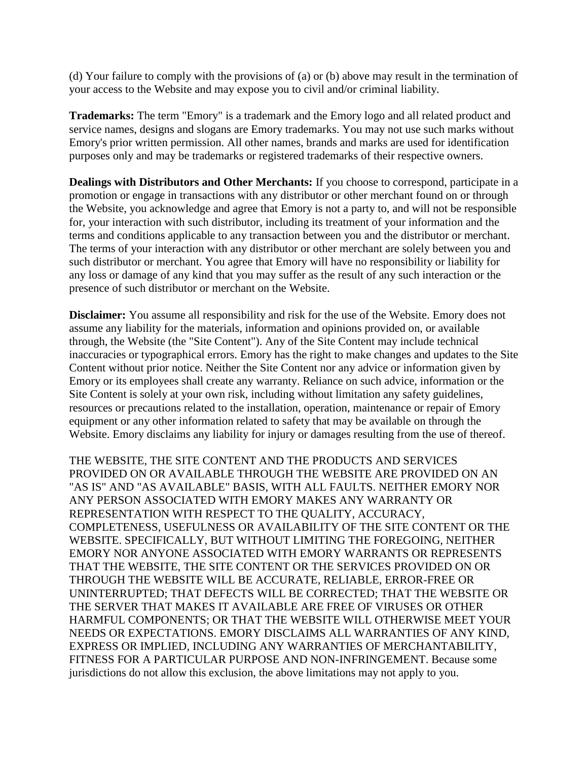(d) Your failure to comply with the provisions of (a) or (b) above may result in the termination of your access to the Website and may expose you to civil and/or criminal liability.

**Trademarks:** The term "Emory" is a trademark and the Emory logo and all related product and service names, designs and slogans are Emory trademarks. You may not use such marks without Emory's prior written permission. All other names, brands and marks are used for identification purposes only and may be trademarks or registered trademarks of their respective owners.

**Dealings with Distributors and Other Merchants:** If you choose to correspond, participate in a promotion or engage in transactions with any distributor or other merchant found on or through the Website, you acknowledge and agree that Emory is not a party to, and will not be responsible for, your interaction with such distributor, including its treatment of your information and the terms and conditions applicable to any transaction between you and the distributor or merchant. The terms of your interaction with any distributor or other merchant are solely between you and such distributor or merchant. You agree that Emory will have no responsibility or liability for any loss or damage of any kind that you may suffer as the result of any such interaction or the presence of such distributor or merchant on the Website.

**Disclaimer:** You assume all responsibility and risk for the use of the Website. Emory does not assume any liability for the materials, information and opinions provided on, or available through, the Website (the "Site Content"). Any of the Site Content may include technical inaccuracies or typographical errors. Emory has the right to make changes and updates to the Site Content without prior notice. Neither the Site Content nor any advice or information given by Emory or its employees shall create any warranty. Reliance on such advice, information or the Site Content is solely at your own risk, including without limitation any safety guidelines, resources or precautions related to the installation, operation, maintenance or repair of Emory equipment or any other information related to safety that may be available on through the Website. Emory disclaims any liability for injury or damages resulting from the use of thereof.

THE WEBSITE, THE SITE CONTENT AND THE PRODUCTS AND SERVICES PROVIDED ON OR AVAILABLE THROUGH THE WEBSITE ARE PROVIDED ON AN "AS IS" AND "AS AVAILABLE" BASIS, WITH ALL FAULTS. NEITHER EMORY NOR ANY PERSON ASSOCIATED WITH EMORY MAKES ANY WARRANTY OR REPRESENTATION WITH RESPECT TO THE QUALITY, ACCURACY, COMPLETENESS, USEFULNESS OR AVAILABILITY OF THE SITE CONTENT OR THE WEBSITE. SPECIFICALLY, BUT WITHOUT LIMITING THE FOREGOING, NEITHER EMORY NOR ANYONE ASSOCIATED WITH EMORY WARRANTS OR REPRESENTS THAT THE WEBSITE, THE SITE CONTENT OR THE SERVICES PROVIDED ON OR THROUGH THE WEBSITE WILL BE ACCURATE, RELIABLE, ERROR-FREE OR UNINTERRUPTED; THAT DEFECTS WILL BE CORRECTED; THAT THE WEBSITE OR THE SERVER THAT MAKES IT AVAILABLE ARE FREE OF VIRUSES OR OTHER HARMFUL COMPONENTS; OR THAT THE WEBSITE WILL OTHERWISE MEET YOUR NEEDS OR EXPECTATIONS. EMORY DISCLAIMS ALL WARRANTIES OF ANY KIND, EXPRESS OR IMPLIED, INCLUDING ANY WARRANTIES OF MERCHANTABILITY, FITNESS FOR A PARTICULAR PURPOSE AND NON-INFRINGEMENT. Because some jurisdictions do not allow this exclusion, the above limitations may not apply to you.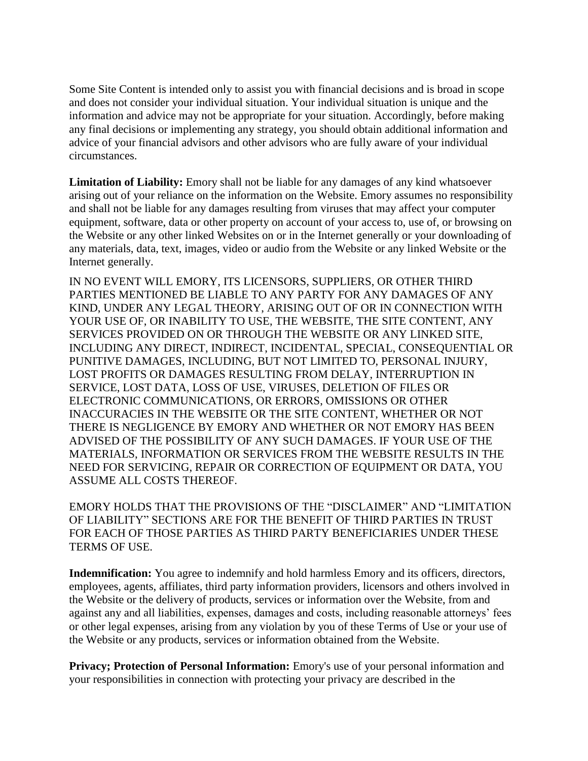Some Site Content is intended only to assist you with financial decisions and is broad in scope and does not consider your individual situation. Your individual situation is unique and the information and advice may not be appropriate for your situation. Accordingly, before making any final decisions or implementing any strategy, you should obtain additional information and advice of your financial advisors and other advisors who are fully aware of your individual circumstances.

**Limitation of Liability:** Emory shall not be liable for any damages of any kind whatsoever arising out of your reliance on the information on the Website. Emory assumes no responsibility and shall not be liable for any damages resulting from viruses that may affect your computer equipment, software, data or other property on account of your access to, use of, or browsing on the Website or any other linked Websites on or in the Internet generally or your downloading of any materials, data, text, images, video or audio from the Website or any linked Website or the Internet generally.

IN NO EVENT WILL EMORY, ITS LICENSORS, SUPPLIERS, OR OTHER THIRD PARTIES MENTIONED BE LIABLE TO ANY PARTY FOR ANY DAMAGES OF ANY KIND, UNDER ANY LEGAL THEORY, ARISING OUT OF OR IN CONNECTION WITH YOUR USE OF, OR INABILITY TO USE, THE WEBSITE, THE SITE CONTENT, ANY SERVICES PROVIDED ON OR THROUGH THE WEBSITE OR ANY LINKED SITE, INCLUDING ANY DIRECT, INDIRECT, INCIDENTAL, SPECIAL, CONSEQUENTIAL OR PUNITIVE DAMAGES, INCLUDING, BUT NOT LIMITED TO, PERSONAL INJURY, LOST PROFITS OR DAMAGES RESULTING FROM DELAY, INTERRUPTION IN SERVICE, LOST DATA, LOSS OF USE, VIRUSES, DELETION OF FILES OR ELECTRONIC COMMUNICATIONS, OR ERRORS, OMISSIONS OR OTHER INACCURACIES IN THE WEBSITE OR THE SITE CONTENT, WHETHER OR NOT THERE IS NEGLIGENCE BY EMORY AND WHETHER OR NOT EMORY HAS BEEN ADVISED OF THE POSSIBILITY OF ANY SUCH DAMAGES. IF YOUR USE OF THE MATERIALS, INFORMATION OR SERVICES FROM THE WEBSITE RESULTS IN THE NEED FOR SERVICING, REPAIR OR CORRECTION OF EQUIPMENT OR DATA, YOU ASSUME ALL COSTS THEREOF.

EMORY HOLDS THAT THE PROVISIONS OF THE "DISCLAIMER" AND "LIMITATION OF LIABILITY" SECTIONS ARE FOR THE BENEFIT OF THIRD PARTIES IN TRUST FOR EACH OF THOSE PARTIES AS THIRD PARTY BENEFICIARIES UNDER THESE TERMS OF USE.

**Indemnification:** You agree to indemnify and hold harmless Emory and its officers, directors, employees, agents, affiliates, third party information providers, licensors and others involved in the Website or the delivery of products, services or information over the Website, from and against any and all liabilities, expenses, damages and costs, including reasonable attorneys' fees or other legal expenses, arising from any violation by you of these Terms of Use or your use of the Website or any products, services or information obtained from the Website.

**Privacy; Protection of Personal Information:** Emory's use of your personal information and your responsibilities in connection with protecting your privacy are described in the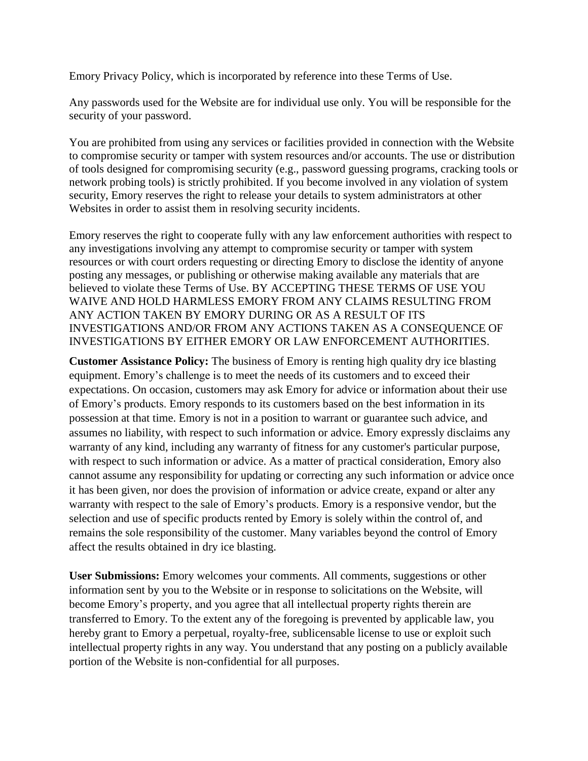Emory [Privacy Policy,](http://www.millerwelds.com/privacy-policy) which is incorporated by reference into these Terms of Use.

Any passwords used for the Website are for individual use only. You will be responsible for the security of your password.

You are prohibited from using any services or facilities provided in connection with the Website to compromise security or tamper with system resources and/or accounts. The use or distribution of tools designed for compromising security (e.g., password guessing programs, cracking tools or network probing tools) is strictly prohibited. If you become involved in any violation of system security, Emory reserves the right to release your details to system administrators at other Websites in order to assist them in resolving security incidents.

Emory reserves the right to cooperate fully with any law enforcement authorities with respect to any investigations involving any attempt to compromise security or tamper with system resources or with court orders requesting or directing Emory to disclose the identity of anyone posting any messages, or publishing or otherwise making available any materials that are believed to violate these Terms of Use. BY ACCEPTING THESE TERMS OF USE YOU WAIVE AND HOLD HARMLESS EMORY FROM ANY CLAIMS RESULTING FROM ANY ACTION TAKEN BY EMORY DURING OR AS A RESULT OF ITS INVESTIGATIONS AND/OR FROM ANY ACTIONS TAKEN AS A CONSEQUENCE OF INVESTIGATIONS BY EITHER EMORY OR LAW ENFORCEMENT AUTHORITIES.

**Customer Assistance Policy:** The business of Emory is renting high quality dry ice blasting equipment. Emory's challenge is to meet the needs of its customers and to exceed their expectations. On occasion, customers may ask Emory for advice or information about their use of Emory's products. Emory responds to its customers based on the best information in its possession at that time. Emory is not in a position to warrant or guarantee such advice, and assumes no liability, with respect to such information or advice. Emory expressly disclaims any warranty of any kind, including any warranty of fitness for any customer's particular purpose, with respect to such information or advice. As a matter of practical consideration, Emory also cannot assume any responsibility for updating or correcting any such information or advice once it has been given, nor does the provision of information or advice create, expand or alter any warranty with respect to the sale of Emory's products. Emory is a responsive vendor, but the selection and use of specific products rented by Emory is solely within the control of, and remains the sole responsibility of the customer. Many variables beyond the control of Emory affect the results obtained in dry ice blasting.

**User Submissions:** Emory welcomes your comments. All comments, suggestions or other information sent by you to the Website or in response to solicitations on the Website, will become Emory's property, and you agree that all intellectual property rights therein are transferred to Emory. To the extent any of the foregoing is prevented by applicable law, you hereby grant to Emory a perpetual, royalty-free, sublicensable license to use or exploit such intellectual property rights in any way. You understand that any posting on a publicly available portion of the Website is non-confidential for all purposes.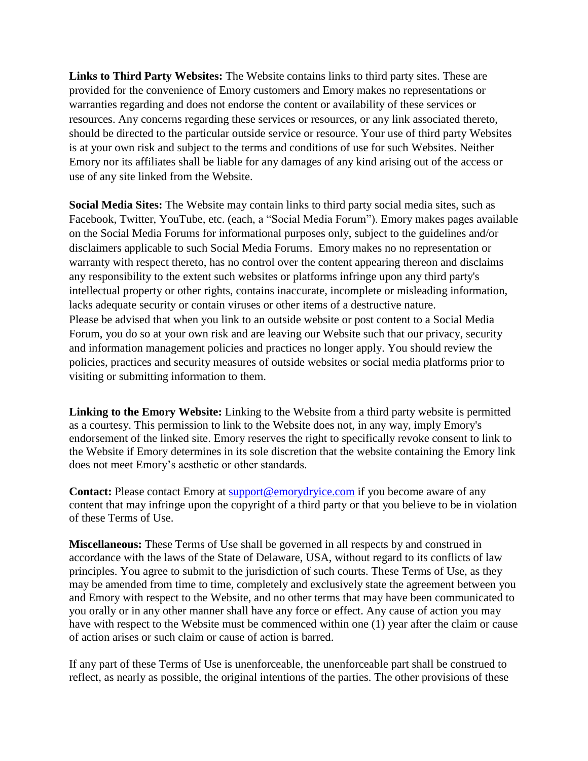**Links to Third Party Websites:** The Website contains links to third party sites. These are provided for the convenience of Emory customers and Emory makes no representations or warranties regarding and does not endorse the content or availability of these services or resources. Any concerns regarding these services or resources, or any link associated thereto, should be directed to the particular outside service or resource. Your use of third party Websites is at your own risk and subject to the terms and conditions of use for such Websites. Neither Emory nor its affiliates shall be liable for any damages of any kind arising out of the access or use of any site linked from the Website.

**Social Media Sites:** The Website may contain links to third party social media sites, such as Facebook, Twitter, YouTube, etc. (each, a "Social Media Forum"). Emory makes pages available on the Social Media Forums for informational purposes only, subject to the guidelines and/or disclaimers applicable to such Social Media Forums. Emory makes no no representation or warranty with respect thereto, has no control over the content appearing thereon and disclaims any responsibility to the extent such websites or platforms infringe upon any third party's intellectual property or other rights, contains inaccurate, incomplete or misleading information, lacks adequate security or contain viruses or other items of a destructive nature. Please be advised that when you link to an outside website or post content to a Social Media Forum, you do so at your own risk and are leaving our Website such that our privacy, security and information management policies and practices no longer apply. You should review the policies, practices and security measures of outside websites or social media platforms prior to visiting or submitting information to them.

**Linking to the Emory Website:** Linking to the Website from a third party website is permitted as a courtesy. This permission to link to the Website does not, in any way, imply Emory's endorsement of the linked site. Emory reserves the right to specifically revoke consent to link to the Website if Emory determines in its sole discretion that the website containing the Emory link does not meet Emory's aesthetic or other standards.

**Contact:** Please contact Emory at [support@emorydryice.com](mailto:support@emorydryice.com) if you become aware of any content that may infringe upon the copyright of a third party or that you believe to be in violation of these Terms of Use.

**Miscellaneous:** These Terms of Use shall be governed in all respects by and construed in accordance with the laws of the State of Delaware, USA, without regard to its conflicts of law principles. You agree to submit to the jurisdiction of such courts. These Terms of Use, as they may be amended from time to time, completely and exclusively state the agreement between you and Emory with respect to the Website, and no other terms that may have been communicated to you orally or in any other manner shall have any force or effect. Any cause of action you may have with respect to the Website must be commenced within one (1) year after the claim or cause of action arises or such claim or cause of action is barred.

If any part of these Terms of Use is unenforceable, the unenforceable part shall be construed to reflect, as nearly as possible, the original intentions of the parties. The other provisions of these